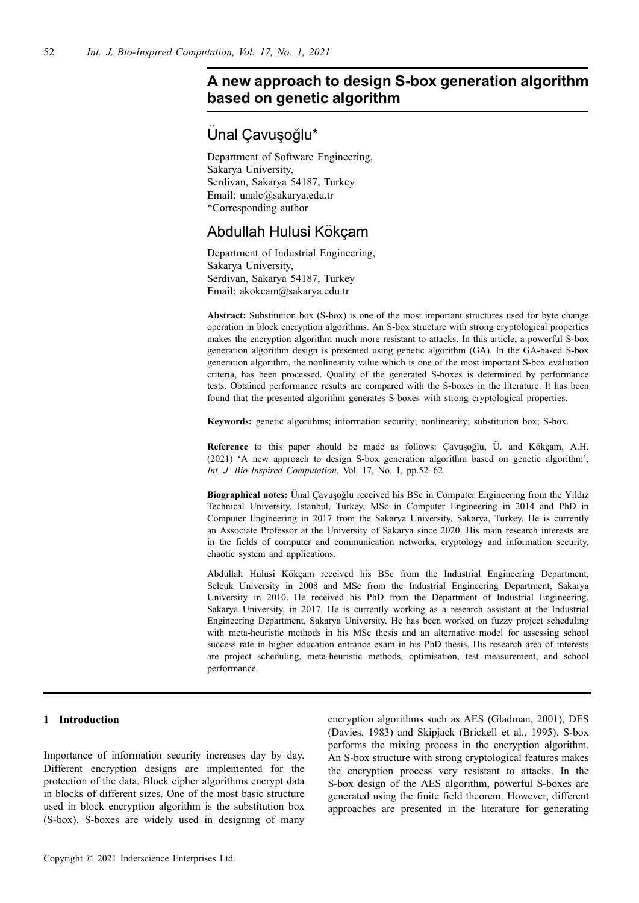# **A new approach to design S-box generation algorithm based on genetic algorithm**

# Ünal Cavusoğlu\*

Department of Software Engineering, Sakarya University, Serdivan, Sakarya 54187, Turkey Email: unalc@sakarya.edu.tr \*Corresponding author

# Abdullah Hulusi Kökcam

Department of Industrial Engineering, Sakarya University, Serdivan, Sakarya 54187, Turkey Email: akokcam@sakarya.edu.tr

**Abstract:** Substitution box (S-box) is one of the most important structures used for byte change operation in block encryption algorithms. An S-box structure with strong cryptological properties makes the encryption algorithm much more resistant to attacks. In this article, a powerful S-box generation algorithm design is presented using genetic algorithm (GA). In the GA-based S-box generation algorithm, the nonlinearity value which is one of the most important S-box evaluation criteria, has been processed. Quality of the generated S-boxes is determined by performance tests. Obtained performance results are compared with the S-boxes in the literature. It has been found that the presented algorithm generates S-boxes with strong cryptological properties.

**Keywords:** genetic algorithms; information security; nonlinearity; substitution box; S-box.

**Reference** to this paper should be made as follows: Çavuşoğlu, Ü. and Kökçam, A.H. (2021) 'A new approach to design S-box generation algorithm based on genetic algorithm', *Int. J. Bio-Inspired Computation*, Vol. 17, No. 1, pp.52–62.

**Biographical notes:** Unal Cavusoğlu received his BSc in Computer Engineering from the Yıldız Technical University, Istanbul, Turkey, MSc in Computer Engineering in 2014 and PhD in Computer Engineering in 2017 from the Sakarya University, Sakarya, Turkey. He is currently an Associate Professor at the University of Sakarya since 2020. His main research interests are in the fields of computer and communication networks, cryptology and information security, chaotic system and applications.

Abdullah Hulusi Kökçam received his BSc from the Industrial Engineering Department, Selcuk University in 2008 and MSc from the Industrial Engineering Department, Sakarya University in 2010. He received his PhD from the Department of Industrial Engineering, Sakarya University, in 2017. He is currently working as a research assistant at the Industrial Engineering Department, Sakarya University. He has been worked on fuzzy project scheduling with meta-heuristic methods in his MSc thesis and an alternative model for assessing school success rate in higher education entrance exam in his PhD thesis. His research area of interests are project scheduling, meta-heuristic methods, optimisation, test measurement, and school performance.

# **1 Introduction**

Importance of information security increases day by day. Different encryption designs are implemented for the protection of the data. Block cipher algorithms encrypt data in blocks of different sizes. One of the most basic structure used in block encryption algorithm is the substitution box (S-box). S-boxes are widely used in designing of many encryption algorithms such as AES (Gladman, 2001), DES (Davies, 1983) and Skipjack (Brickell et al., 1995). S-box performs the mixing process in the encryption algorithm. An S-box structure with strong cryptological features makes the encryption process very resistant to attacks. In the S-box design of the AES algorithm, powerful S-boxes are generated using the finite field theorem. However, different approaches are presented in the literature for generating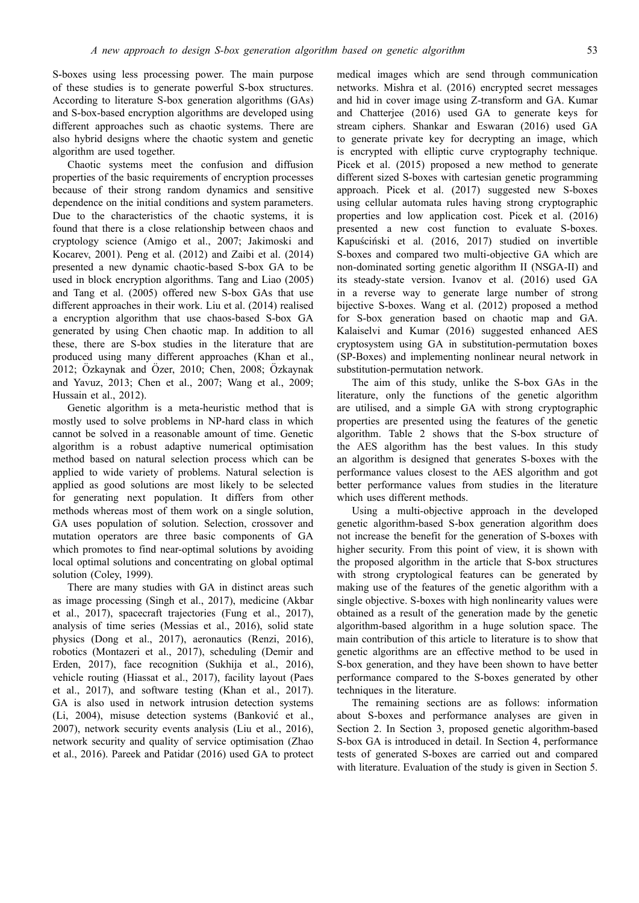S-boxes using less processing power. The main purpose of these studies is to generate powerful S-box structures. According to literature S-box generation algorithms (GAs) and S-box-based encryption algorithms are developed using different approaches such as chaotic systems. There are also hybrid designs where the chaotic system and genetic algorithm are used together.

Chaotic systems meet the confusion and diffusion properties of the basic requirements of encryption processes because of their strong random dynamics and sensitive dependence on the initial conditions and system parameters. Due to the characteristics of the chaotic systems, it is found that there is a close relationship between chaos and cryptology science (Amigo et al., 2007; Jakimoski and Kocarev, 2001). Peng et al. (2012) and Zaibi et al. (2014) presented a new dynamic chaotic-based S-box GA to be used in block encryption algorithms. Tang and Liao (2005) and Tang et al. (2005) offered new S-box GAs that use different approaches in their work. Liu et al. (2014) realised a encryption algorithm that use chaos-based S-box GA generated by using Chen chaotic map. In addition to all these, there are S-box studies in the literature that are produced using many different approaches (Khan et al., 2012; Özkaynak and Özer, 2010; Chen, 2008; Özkaynak and Yavuz, 2013; Chen et al., 2007; Wang et al., 2009; Hussain et al., 2012).

Genetic algorithm is a meta-heuristic method that is mostly used to solve problems in NP-hard class in which cannot be solved in a reasonable amount of time. Genetic algorithm is a robust adaptive numerical optimisation method based on natural selection process which can be applied to wide variety of problems. Natural selection is applied as good solutions are most likely to be selected for generating next population. It differs from other methods whereas most of them work on a single solution, GA uses population of solution. Selection, crossover and mutation operators are three basic components of GA which promotes to find near-optimal solutions by avoiding local optimal solutions and concentrating on global optimal solution (Coley, 1999).

There are many studies with GA in distinct areas such as image processing (Singh et al., 2017), medicine (Akbar et al., 2017), spacecraft trajectories (Fung et al., 2017), analysis of time series (Messias et al., 2016), solid state physics (Dong et al., 2017), aeronautics (Renzi, 2016), robotics (Montazeri et al., 2017), scheduling (Demir and Erden, 2017), face recognition (Sukhija et al., 2016), vehicle routing (Hiassat et al., 2017), facility layout (Paes et al., 2017), and software testing (Khan et al., 2017). GA is also used in network intrusion detection systems (Li, 2004), misuse detection systems (Banković et al., 2007), network security events analysis (Liu et al., 2016), network security and quality of service optimisation (Zhao et al., 2016). Pareek and Patidar (2016) used GA to protect medical images which are send through communication networks. Mishra et al. (2016) encrypted secret messages and hid in cover image using Z-transform and GA. Kumar and Chatterjee (2016) used GA to generate keys for stream ciphers. Shankar and Eswaran (2016) used GA to generate private key for decrypting an image, which is encrypted with elliptic curve cryptography technique. Picek et al. (2015) proposed a new method to generate different sized S-boxes with cartesian genetic programming approach. Picek et al. (2017) suggested new S-boxes using cellular automata rules having strong cryptographic properties and low application cost. Picek et al. (2016) presented a new cost function to evaluate S-boxes. Kapuściński et al. (2016, 2017) studied on invertible S-boxes and compared two multi-objective GA which are non-dominated sorting genetic algorithm II (NSGA-II) and its steady-state version. Ivanov et al. (2016) used GA in a reverse way to generate large number of strong bijective S-boxes. Wang et al. (2012) proposed a method for S-box generation based on chaotic map and GA. Kalaiselvi and Kumar (2016) suggested enhanced AES cryptosystem using GA in substitution-permutation boxes (SP-Boxes) and implementing nonlinear neural network in substitution-permutation network.

The aim of this study, unlike the S-box GAs in the literature, only the functions of the genetic algorithm are utilised, and a simple GA with strong cryptographic properties are presented using the features of the genetic algorithm. Table 2 shows that the S-box structure of the AES algorithm has the best values. In this study an algorithm is designed that generates S-boxes with the performance values closest to the AES algorithm and got better performance values from studies in the literature which uses different methods.

Using a multi-objective approach in the developed genetic algorithm-based S-box generation algorithm does not increase the benefit for the generation of S-boxes with higher security. From this point of view, it is shown with the proposed algorithm in the article that S-box structures with strong cryptological features can be generated by making use of the features of the genetic algorithm with a single objective. S-boxes with high nonlinearity values were obtained as a result of the generation made by the genetic algorithm-based algorithm in a huge solution space. The main contribution of this article to literature is to show that genetic algorithms are an effective method to be used in S-box generation, and they have been shown to have better performance compared to the S-boxes generated by other techniques in the literature.

The remaining sections are as follows: information about S-boxes and performance analyses are given in Section 2. In Section 3, proposed genetic algorithm-based S-box GA is introduced in detail. In Section 4, performance tests of generated S-boxes are carried out and compared with literature. Evaluation of the study is given in Section 5.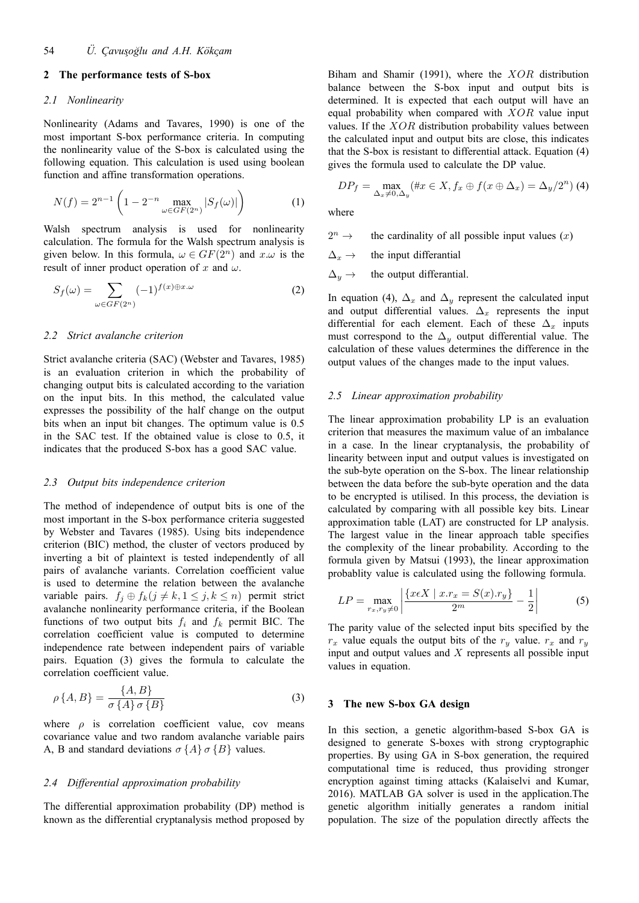#### **2 The performance tests of S-box**

#### *2.1 Nonlinearity*

Nonlinearity (Adams and Tavares, 1990) is one of the most important S-box performance criteria. In computing the nonlinearity value of the S-box is calculated using the following equation. This calculation is used using boolean function and affine transformation operations.

$$
N(f) = 2^{n-1} \left( 1 - 2^{-n} \max_{\omega \in GF(2^n)} |S_f(\omega)| \right)
$$
 (1)

Walsh spectrum analysis is used for nonlinearity calculation. The formula for the Walsh spectrum analysis is given below. In this formula,  $\omega \in GF(2^n)$  and  $x.\omega$  is the result of inner product operation of *x* and *ω*.

$$
S_f(\omega) = \sum_{\omega \in GF(2^n)} (-1)^{f(x) \oplus x \cdot \omega} \tag{2}
$$

#### *2.2 Strict avalanche criterion*

Strict avalanche criteria (SAC) (Webster and Tavares, 1985) is an evaluation criterion in which the probability of changing output bits is calculated according to the variation on the input bits. In this method, the calculated value expresses the possibility of the half change on the output bits when an input bit changes. The optimum value is 0.5 in the SAC test. If the obtained value is close to 0.5, it indicates that the produced S-box has a good SAC value.

#### *2.3 Output bits independence criterion*

The method of independence of output bits is one of the most important in the S-box performance criteria suggested by Webster and Tavares (1985). Using bits independence criterion (BIC) method, the cluster of vectors produced by inverting a bit of plaintext is tested independently of all pairs of avalanche variants. Correlation coefficient value is used to determine the relation between the avalanche variable pairs.  $f_j \oplus f_k (j \neq k, 1 \leq j, k \leq n)$  permit strict avalanche nonlinearity performance criteria, if the Boolean functions of two output bits  $f_i$  and  $f_k$  permit BIC. The correlation coefficient value is computed to determine independence rate between independent pairs of variable pairs. Equation (3) gives the formula to calculate the correlation coefficient value.

$$
\rho\{A,B\} = \frac{\{A,B\}}{\sigma\{A\}\sigma\{B\}}\tag{3}
$$

where  $\rho$  is correlation coefficient value, cov means covariance value and two random avalanche variable pairs A, B and standard deviations  $\sigma$   $\{A\}$   $\sigma$   $\{B\}$  values.

#### *2.4 Differential approximation probability*

The differential approximation probability (DP) method is known as the differential cryptanalysis method proposed by Biham and Shamir (1991), where the *XOR* distribution balance between the S-box input and output bits is determined. It is expected that each output will have an equal probability when compared with *XOR* value input values. If the  $XOR$  distribution probability values between the calculated input and output bits are close, this indicates that the S-box is resistant to differential attack. Equation (4) gives the formula used to calculate the DP value.

$$
DP_f = \max_{\Delta_x \neq 0, \Delta_y} (\#x \in X, f_x \oplus f(x \oplus \Delta_x) = \Delta_y/2^n)
$$
 (4)

where

 $2^n \rightarrow$ the cardinality of all possible input values  $(x)$ 

 $\Delta_x \rightarrow$  the input differantial

 $\Delta_y \rightarrow$  the output differantial.

In equation (4),  $\Delta_x$  and  $\Delta_y$  represent the calculated input and output differential values. ∆*<sup>x</sup>* represents the input differential for each element. Each of these  $\Delta_x$  inputs must correspond to the  $\Delta_y$  output differential value. The calculation of these values determines the difference in the output values of the changes made to the input values.

#### *2.5 Linear approximation probability*

The linear approximation probability LP is an evaluation criterion that measures the maximum value of an imbalance in a case. In the linear cryptanalysis, the probability of linearity between input and output values is investigated on the sub-byte operation on the S-box. The linear relationship between the data before the sub-byte operation and the data to be encrypted is utilised. In this process, the deviation is calculated by comparing with all possible key bits. Linear approximation table (LAT) are constructed for LP analysis. The largest value in the linear approach table specifies the complexity of the linear probability. According to the formula given by Matsui (1993), the linear approximation probablity value is calculated using the following formula.

$$
LP = \max_{r_x, r_y \neq 0} \left| \frac{\{x \in X \mid x \cdot r_x = S(x) \cdot r_y\}}{2^m} - \frac{1}{2} \right| \tag{5}
$$

The parity value of the selected input bits specified by the  $r_x$  value equals the output bits of the  $r_y$  value.  $r_x$  and  $r_y$ input and output values and *X* represents all possible input values in equation.

#### **3 The new S-box GA design**

In this section, a genetic algorithm-based S-box GA is designed to generate S-boxes with strong cryptographic properties. By using GA in S-box generation, the required computational time is reduced, thus providing stronger encryption against timing attacks (Kalaiselvi and Kumar, 2016). MATLAB GA solver is used in the application.The genetic algorithm initially generates a random initial population. The size of the population directly affects the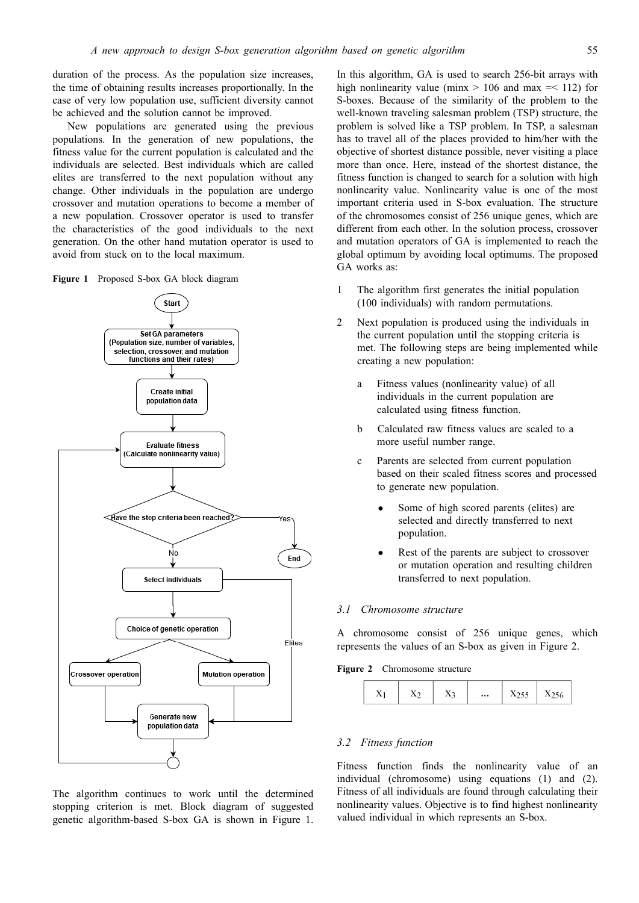duration of the process. As the population size increases, the time of obtaining results increases proportionally. In the case of very low population use, sufficient diversity cannot be achieved and the solution cannot be improved.

New populations are generated using the previous populations. In the generation of new populations, the fitness value for the current population is calculated and the individuals are selected. Best individuals which are called elites are transferred to the next population without any change. Other individuals in the population are undergo crossover and mutation operations to become a member of a new population. Crossover operator is used to transfer the characteristics of the good individuals to the next generation. On the other hand mutation operator is used to avoid from stuck on to the local maximum.





The algorithm continues to work until the determined stopping criterion is met. Block diagram of suggested genetic algorithm-based S-box GA is shown in Figure 1. In this algorithm, GA is used to search 256-bit arrays with high nonlinearity value (minx  $> 106$  and max  $=$  112) for S-boxes. Because of the similarity of the problem to the well-known traveling salesman problem (TSP) structure, the problem is solved like a TSP problem. In TSP, a salesman has to travel all of the places provided to him/her with the objective of shortest distance possible, never visiting a place more than once. Here, instead of the shortest distance, the fitness function is changed to search for a solution with high nonlinearity value. Nonlinearity value is one of the most important criteria used in S-box evaluation. The structure of the chromosomes consist of 256 unique genes, which are different from each other. In the solution process, crossover and mutation operators of GA is implemented to reach the global optimum by avoiding local optimums. The proposed GA works as:

- 1 The algorithm first generates the initial population (100 individuals) with random permutations.
- 2 Next population is produced using the individuals in the current population until the stopping criteria is met. The following steps are being implemented while creating a new population:
	- a Fitness values (nonlinearity value) of all individuals in the current population are calculated using fitness function.
	- b Calculated raw fitness values are scaled to a more useful number range.
	- c Parents are selected from current population based on their scaled fitness scores and processed to generate new population.
		- Some of high scored parents (elites) are selected and directly transferred to next population.
		- Rest of the parents are subject to crossover or mutation operation and resulting children transferred to next population.

#### *3.1 Chromosome structure*

A chromosome consist of 256 unique genes, which represents the values of an S-box as given in Figure 2.

**Figure 2** Chromosome structure

|  |  | <br> |  |  |
|--|--|------|--|--|
|--|--|------|--|--|

### *3.2 Fitness function*

Fitness function finds the nonlinearity value of an individual (chromosome) using equations (1) and (2). Fitness of all individuals are found through calculating their nonlinearity values. Objective is to find highest nonlinearity valued individual in which represents an S-box.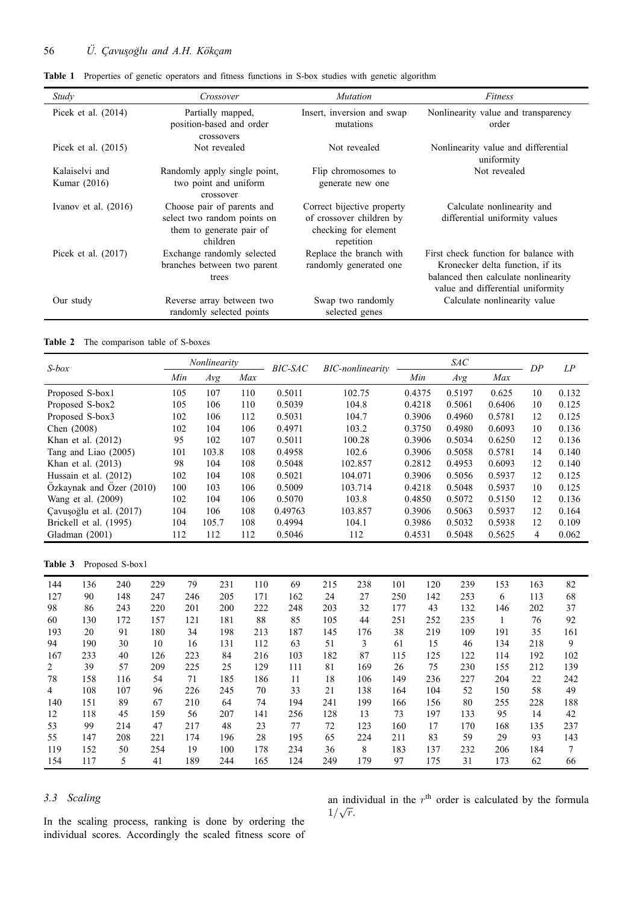| Study                          | Crossover                                                                                         | <b>Mutation</b>                                                                              | Fitness                                                                                                                                                |
|--------------------------------|---------------------------------------------------------------------------------------------------|----------------------------------------------------------------------------------------------|--------------------------------------------------------------------------------------------------------------------------------------------------------|
| Picek et al. $(2014)$          | Partially mapped,<br>position-based and order<br>crossovers                                       | Insert, inversion and swap<br>mutations                                                      | Nonlinearity value and transparency<br>order                                                                                                           |
| Picek et al. $(2015)$          | Not revealed                                                                                      | Not revealed                                                                                 | Nonlinearity value and differential<br>uniformity                                                                                                      |
| Kalaiselvi and<br>Kumar (2016) | Randomly apply single point,<br>two point and uniform<br>crossover                                | Flip chromosomes to<br>generate new one                                                      | Not revealed                                                                                                                                           |
| Ivanov et al. $(2016)$         | Choose pair of parents and<br>select two random points on<br>them to generate pair of<br>children | Correct bijective property<br>of crossover children by<br>checking for element<br>repetition | Calculate nonlinearity and<br>differential uniformity values                                                                                           |
| Picek et al. $(2017)$          | Exchange randomly selected<br>branches between two parent<br>trees                                | Replace the branch with<br>randomly generated one                                            | First check function for balance with<br>Kronecker delta function, if its<br>balanced then calculate nonlinearity<br>value and differential uniformity |
| Our study                      | Reverse array between two<br>randomly selected points                                             | Swap two randomly<br>selected genes                                                          | Calculate nonlinearity value                                                                                                                           |

**Table 1** Properties of genetic operators and fitness functions in S-box studies with genetic algorithm

**Table 2** The comparison table of S-boxes

| $S-box$     |                        |                          |     |     | Nonlinearity |     | <b>BIC-SAC</b> |     | <b>BIC-nonlinearity</b> |     |        | <b>SAC</b> |        | DP  | LP    |
|-------------|------------------------|--------------------------|-----|-----|--------------|-----|----------------|-----|-------------------------|-----|--------|------------|--------|-----|-------|
|             |                        |                          |     | Min | Avg          | Max |                |     |                         |     | Min    | Avg        | Max    |     |       |
|             | Proposed S-box1        |                          |     | 105 | 107          | 110 | 0.5011         |     | 102.75                  |     | 0.4375 | 0.5197     | 0.625  | 10  | 0.132 |
|             | Proposed S-box2        |                          |     | 105 | 106          | 110 | 0.5039         |     | 104.8                   |     | 0.4218 | 0.5061     | 0.6406 | 10  | 0.125 |
|             | Proposed S-box3        |                          |     | 102 | 106          | 112 | 0.5031         |     | 104.7                   |     | 0.3906 | 0.4960     | 0.5781 | 12  | 0.125 |
| Chen (2008) |                        |                          |     | 102 | 104          | 106 | 0.4971         |     | 103.2                   |     | 0.3750 | 0.4980     | 0.6093 | 10  | 0.136 |
|             | Khan et al. $(2012)$   |                          |     | 95  | 102          | 107 | 0.5011         |     | 100.28                  |     | 0.3906 | 0.5034     | 0.6250 | 12  | 0.136 |
|             |                        | Tang and Liao (2005)     |     | 101 | 103.8        | 108 | 0.4958         |     | 102.6                   |     | 0.3906 | 0.5058     | 0.5781 | 14  | 0.140 |
|             | Khan et al. $(2013)$   |                          |     | 98  | 104          | 108 | 0.5048         |     | 102.857                 |     | 0.2812 | 0.4953     | 0.6093 | 12  | 0.140 |
|             | Hussain et al. (2012)  |                          |     | 102 | 104          | 108 | 0.5021         |     | 104.071                 |     | 0.3906 | 0.5056     | 0.5937 | 12  | 0.125 |
|             |                        | Ozkaynak and Ozer (2010) |     | 100 | 103          | 106 | 0.5009         |     | 103.714                 |     | 0.4218 | 0.5048     | 0.5937 | 10  | 0.125 |
|             | Wang et al. (2009)     |                          |     | 102 | 104          | 106 | 0.5070         |     | 103.8                   |     | 0.4850 | 0.5072     | 0.5150 | 12  | 0.136 |
|             |                        | Cavuşoğlu et al. (2017)  |     | 104 | 106          | 108 | 0.49763        |     | 103.857                 |     | 0.3906 | 0.5063     | 0.5937 | 12  | 0.164 |
|             | Brickell et al. (1995) |                          |     | 104 | 105.7        | 108 | 0.4994         |     | 104.1                   |     | 0.3986 | 0.5032     | 0.5938 | 12  | 0.109 |
|             | Gladman (2001)         |                          |     | 112 | 112          | 112 | 0.5046         |     | 112                     |     | 0.4531 | 0.5048     | 0.5625 | 4   | 0.062 |
|             |                        |                          |     |     |              |     |                |     |                         |     |        |            |        |     |       |
| Table 3     |                        | Proposed S-box1          |     |     |              |     |                |     |                         |     |        |            |        |     |       |
| 144         | 136                    | 240                      | 229 | 79  | 231          | 110 | 69             | 215 | 238                     | 101 | 120    | 239        | 153    | 163 | 82    |
| 127         | 90                     | 148                      | 247 | 246 | 205          | 171 | 162            | 24  | 27                      | 250 | 142    | 253        | 6      | 113 | 68    |
| 98          | 86                     | 243                      | 220 | 201 | 200          | 222 | 248            | 203 | 32                      | 177 | 43     | 132        | 146    | 202 | 37    |

| 127 | 90  | 148 | 247 | 246 | 205 | 171 | 162 | 24  | 27  | 250 | 142 | 253 | 6   | 113 | 68  |
|-----|-----|-----|-----|-----|-----|-----|-----|-----|-----|-----|-----|-----|-----|-----|-----|
| 98  | 86  | 243 | 220 | 201 | 200 | 222 | 248 | 203 | 32  | 177 | 43  | 132 | 146 | 202 | 37  |
| 60  | 130 | 172 | 157 | 121 | 181 | 88  | 85  | 105 | 44  | 251 | 252 | 235 |     | 76  | 92  |
| 193 | 20  | 91  | 180 | 34  | 198 | 213 | 187 | 145 | 176 | 38  | 219 | 109 | 191 | 35  | 161 |
| 94  | 190 | 30  | 10  | 16  | 131 | 112 | 63  | 51  | 3   | 61  | 15  | 46  | 134 | 218 | 9   |
| 167 | 233 | 40  | 126 | 223 | 84  | 216 | 103 | 182 | 87  | 115 | 125 | 122 | 114 | 192 | 102 |
| 2   | 39  | 57  | 209 | 225 | 25  | 129 | 111 | 81  | 169 | 26  | 75  | 230 | 155 | 212 | 139 |
| 78  | 158 | 116 | 54  | 71  | 185 | 186 | 11  | 18  | 106 | 149 | 236 | 227 | 204 | 22  | 242 |
| 4   | 108 | 107 | 96  | 226 | 245 | 70  | 33  | 21  | 138 | 164 | 104 | 52  | 150 | 58  | 49  |
| 140 | 151 | 89  | 67  | 210 | 64  | 74  | 194 | 241 | 199 | 166 | 156 | 80  | 255 | 228 | 188 |
| 12  | 118 | 45  | 159 | 56  | 207 | 141 | 256 | 128 | 13  | 73  | 197 | 133 | 95  | 14  | 42  |
| 53  | 99  | 214 | 47  | 217 | 48  | 23  | 77  | 72  | 123 | 160 | 17  | 170 | 168 | 135 | 237 |
| 55  | 147 | 208 | 221 | 174 | 196 | 28  | 195 | 65  | 224 | 211 | 83  | 59  | 29  | 93  | 143 |
| 119 | 152 | 50  | 254 | 19  | 100 | 178 | 234 | 36  | 8   | 183 | 137 | 232 | 206 | 184 |     |
| 154 | 117 | 5   | 41  | 189 | 244 | 165 | 124 | 249 | 179 | 97  | 175 | 31  | 173 | 62  | 66  |

# *3.3 Scaling*

In the scaling process, ranking is done by ordering the individual scores. Accordingly the scaled fitness score of an individual in the  $r<sup>th</sup>$  order is calculated by the formula 1/*<sup>√</sup> r*.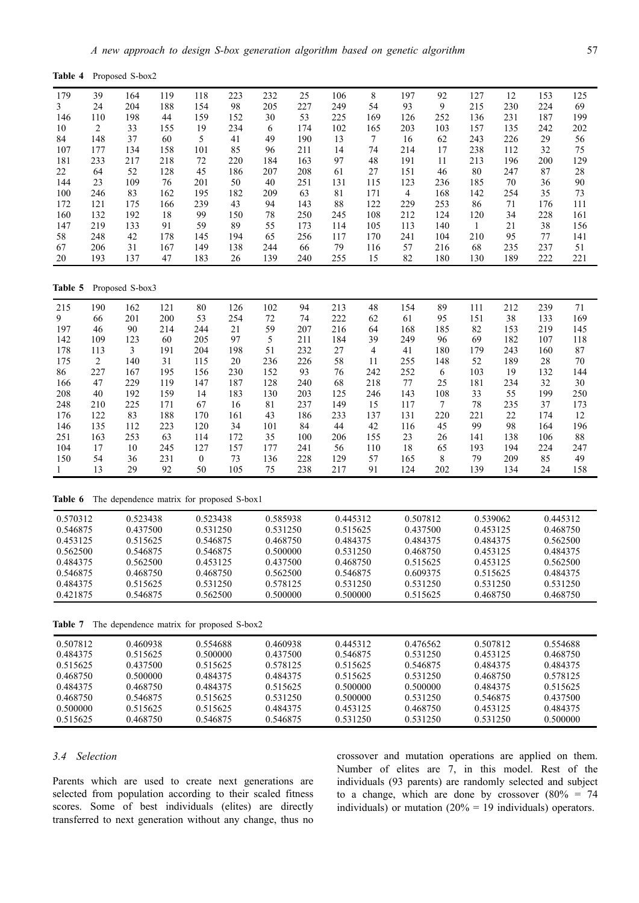| Table 4    |            | Proposed S-box2                           |           |              |           |          |            |            |            |                |            |              |            |            |            |
|------------|------------|-------------------------------------------|-----------|--------------|-----------|----------|------------|------------|------------|----------------|------------|--------------|------------|------------|------------|
| 179        | 39         | 164                                       | 119       | 118          | 223       | 232      | 25         | 106        | 8          | 197            | 92         | 127          | 12         | 153        | 125        |
| 3          | 24         | 204                                       | 188       | 154          | 98        | 205      | 227        | 249        | 54         | 93             | 9          | 215          | 230        | 224        | 69         |
| 146        | 110        | 198                                       | 44        | 159          | 152       | 30       | 53         | 225        | 169        | 126            | 252        | 136          | 231        | 187        | 199        |
| 10         | 2          | 33                                        | 155       | 19           | 234       | 6        | 174        | 102        | 165        | 203            | 103        | 157          | 135        | 242        | 202        |
| 84         | 148        | 37                                        | 60        | 5            | 41        | 49       | 190        | 13         | $\tau$     | 16             | 62         | 243          | 226        | 29         | 56         |
| 107        | 177        | 134                                       | 158       | 101          | 85        | 96       | 211        | 14         | 74         | 214            | 17         | 238          | 112        | 32         | 75         |
| 181        | 233        | 217                                       | 218       | 72           | 220       | 184      | 163        | 97         | 48         | 191            | 11         | 213          | 196        | 200        | 129        |
| 22         | 64         | 52                                        | 128       | 45           | 186       | 207      | 208        | 61         | 27         | 151            | 46         | 80           | 247        | 87         | 28         |
| 144        | 23         | 109                                       | 76        | 201          | 50        | 40       | 251        | 131        | 115        | 123            | 236        | 185          | 70         | 36         | 90         |
| 100        | 246        | 83                                        | 162       | 195          | 182       | 209      | 63         | 81         | 171        | $\overline{4}$ | 168        | 142          | 254        | 35         | 73         |
| 172<br>160 | 121<br>132 | 175<br>192                                | 166<br>18 | 239<br>99    | 43<br>150 | 94<br>78 | 143<br>250 | 88<br>245  | 122<br>108 | 229<br>212     | 253<br>124 | 86<br>120    | 71<br>34   | 176<br>228 | 111<br>161 |
| 147        | 219        | 133                                       | 91        | 59           | 89        | 55       | 173        | 114        | 105        | 113            | 140        | $\mathbf{1}$ | 21         | 38         | 156        |
| 58         | 248        | 42                                        | 178       | 145          | 194       | 65       | 256        | 117        | 170        | 241            | 104        | 210          | 95         | 77         | 141        |
| 67         | 206        | 31                                        | 167       | 149          | 138       | 244      | 66         | 79         | 116        | 57             | 216        | 68           | 235        | 237        | 51         |
| 20         | 193        | 137                                       | 47        | 183          | 26        | 139      | 240        | 255        | 15         | 82             | 180        | 130          | 189        | 222        | 221        |
| Table 5    |            | Proposed S-box3                           |           |              |           |          |            |            |            |                |            |              |            |            |            |
|            |            |                                           |           |              |           |          |            |            |            |                |            |              |            |            |            |
| 215        | 190        | 162                                       | 121       | 80           | 126       | 102      | 94         | 213        | 48         | 154            | 89         | 111          | 212        | 239        | 71         |
| 9          | 66         | 201                                       | 200       | 53           | 254       | 72       | 74         | 222        | 62         | 61             | 95         | 151          | 38         | 133        | 169        |
| 197<br>142 | 46<br>109  | 90<br>123                                 | 214<br>60 | 244<br>205   | 21<br>97  | 59<br>5  | 207<br>211 | 216<br>184 | 64<br>39   | 168<br>249     | 185<br>96  | 82<br>69     | 153<br>182 | 219<br>107 | 145        |
| 178        | 113        | 3                                         | 191       | 204          | 198       | 51       | 232        | $27\,$     | 4          | 41             | 180        | 179          | 243        | 160        | 118<br>87  |
| 175        | 2          | 140                                       | 31        | 115          | 20        | 236      | 226        | 58         | 11         | 255            | 148        | 52           | 189        | 28         | 70         |
| 86         | 227        | 167                                       | 195       | 156          | 230       | 152      | 93         | 76         | 242        | 252            | 6          | 103          | 19         | 132        | 144        |
| 166        | 47         | 229                                       | 119       | 147          | 187       | 128      | 240        | 68         | 218        | 77             | 25         | 181          | 234        | 32         | $30\,$     |
| 208        | 40         | 192                                       | 159       | 14           | 183       | 130      | 203        | 125        | 246        | 143            | 108        | 33           | 55         | 199        | 250        |
| 248        | 210        | 225                                       | 171       | 67           | 16        | 81       | 237        | 149        | 15         | 117            | 7          | 78           | 235        | 37         | 173        |
| 176        | 122        | 83                                        | 188       | 170          | 161       | 43       | 186        | 233        | 137        | 131            | 220        | 221          | 22         | 174        | 12         |
| 146        | 135        | 112                                       | 223       | 120          | 34        | 101      | 84         | 44         | 42         | 116            | 45         | 99           | 98         | 164        | 196        |
| 251        | 163        | 253                                       | 63        | 114          | 172       | 35       | 100        | 206        | 155        | 23             | 26         | 141          | 138        | 106        | 88         |
| 104        | 17         | 10                                        | 245       | 127          | 157       | 177      | 241        | 56         | 110        | 18             | 65         | 193          | 194        | 224        | 247        |
| 150        | 54         | 36                                        | 231       | $\mathbf{0}$ | 73        | 136      | 228        | 129        | 57         | 165            | 8          | 79           | 209        | 85         | 49         |
| 1          | 13         | 29                                        | 92        | 50           | 105       | 75       | 238        | 217        | 91         | 124            | 202        | 139          | 134        | 24         | 158        |
| Table 6    |            | The dependence matrix for proposed S-box1 |           |              |           |          |            |            |            |                |            |              |            |            |            |
| 0.570312   |            | 0.523438                                  |           | 0.523438     |           | 0.585938 |            | 0.445312   |            | 0.507812       |            | 0.539062     |            |            | 0.445312   |
| 0.546875   |            | 0.437500                                  |           | 0.531250     |           | 0.531250 |            | 0.515625   |            | 0.437500       |            | 0.453125     |            |            | 0.468750   |
| 0.453125   |            | 0.515625                                  |           | 0.546875     |           | 0.468750 |            | 0.484375   |            | 0.484375       |            | 0.484375     |            |            | 0.562500   |
| 0.562500   |            | 0.546875                                  |           | 0.546875     |           | 0.500000 |            | 0.531250   |            | 0.468750       |            | 0.453125     |            |            | 0.484375   |
| 0.484375   |            | 0.562500                                  |           | 0.453125     |           | 0.437500 |            | 0.468750   |            | 0.515625       |            | 0.453125     |            |            | 0.562500   |
| 0.546875   |            | 0.468750                                  |           | 0.468750     |           | 0.562500 |            | 0.546875   |            | 0.609375       |            | 0.515625     |            |            | 0.484375   |
| 0.484375   |            | 0.515625                                  |           | 0.531250     |           | 0.578125 |            | 0.531250   |            | 0.531250       |            | 0.531250     |            |            | 0.531250   |
| 0.421875   |            | 0.546875                                  |           | 0.562500     |           | 0.500000 |            | 0.500000   |            | 0.515625       |            | 0.468750     |            |            | 0.468750   |
| Table 7    |            | The dependence matrix for proposed S-box2 |           |              |           |          |            |            |            |                |            |              |            |            |            |
| 0.507812   |            | 0.460938                                  |           | 0.554688     |           | 0.460938 |            | 0.445312   |            | 0.476562       |            | 0.507812     |            |            | 0.554688   |
| 0.484375   |            | 0.515625                                  |           | 0.500000     |           | 0.437500 |            | 0.546875   |            | 0.531250       |            | 0.453125     |            |            | 0.468750   |
| 0.515625   |            | 0.437500                                  |           | 0.515625     |           | 0.578125 |            | 0.515625   |            | 0.546875       |            | 0.484375     |            |            | 0.484375   |
| 0.468750   |            | 0.500000                                  |           | 0.484375     |           | 0.484375 |            | 0.515625   |            | 0.531250       |            | 0.468750     |            |            | 0.578125   |
| 0.484375   |            | 0.468750                                  |           | 0.484375     |           | 0.515625 |            | 0.500000   |            | 0.500000       |            | 0.484375     |            |            | 0.515625   |
| 0.468750   |            | 0.546875                                  |           | 0.515625     |           | 0.531250 |            | 0.500000   |            | 0.531250       |            | 0.546875     |            |            | 0.437500   |
| 0.500000   |            | 0.515625                                  |           | 0.515625     |           | 0.484375 |            | 0.453125   |            | 0.468750       |            | 0.453125     |            |            | 0.484375   |

0.515625 0.468750 0.546875 0.546875 0.531250 0.531250 0.531250 0.500000

# *3.4 Selection*

Parents which are used to create next generations are selected from population according to their scaled fitness scores. Some of best individuals (elites) are directly transferred to next generation without any change, thus no

crossover and mutation operations are applied on them. Number of elites are 7, in this model. Rest of the individuals (93 parents) are randomly selected and subject to a change, which are done by crossover (80% = 74 individuals) or mutation (20% = 19 individuals) operators.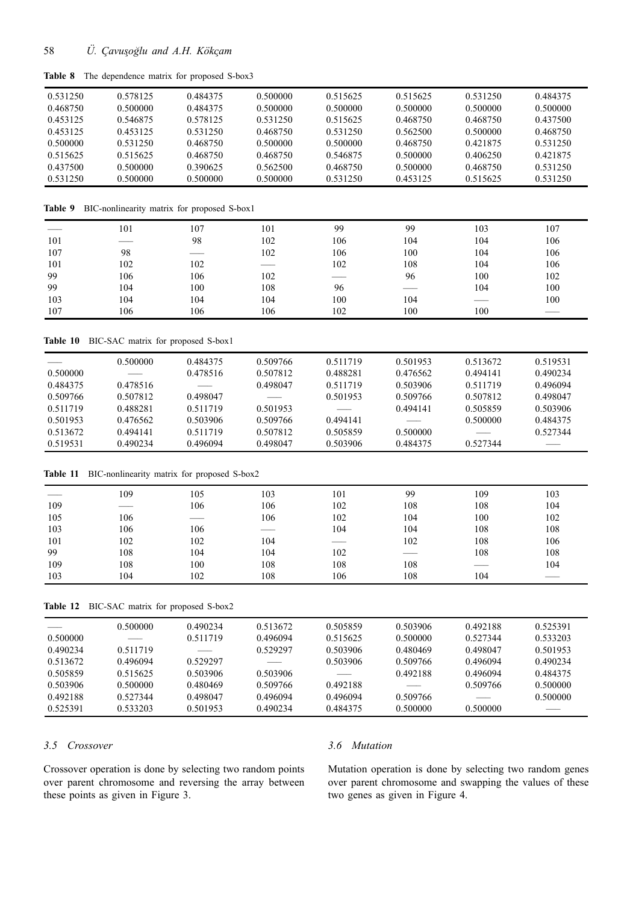|  |  | Table 8 The dependence matrix for proposed S-box3 |  |  |  |  |
|--|--|---------------------------------------------------|--|--|--|--|
|--|--|---------------------------------------------------|--|--|--|--|

| 0.531250 | 0.578125 | 0.484375 | 0.500000 | 0.515625 | 0.515625 | 0.531250 | 0.484375 |
|----------|----------|----------|----------|----------|----------|----------|----------|
| 0.468750 | 0.500000 | 0.484375 | 0.500000 | 0.500000 | 0.500000 | 0.500000 | 0.500000 |
| 0.453125 | 0.546875 | 0.578125 | 0.531250 | 0.515625 | 0.468750 | 0.468750 | 0.437500 |
| 0.453125 | 0.453125 | 0.531250 | 0.468750 | 0.531250 | 0.562500 | 0.500000 | 0.468750 |
| 0.500000 | 0.531250 | 0.468750 | 0.500000 | 0.500000 | 0.468750 | 0.421875 | 0.531250 |
| 0.515625 | 0.515625 | 0.468750 | 0.468750 | 0.546875 | 0.500000 | 0.406250 | 0.421875 |
| 0.437500 | 0.500000 | 0.390625 | 0.562500 | 0.468750 | 0.500000 | 0.468750 | 0.531250 |
| 0.531250 | 0.500000 | 0.500000 | 0.500000 | 0.531250 | 0.453125 | 0.515625 | 0.531250 |

**Table 9** BIC-nonlinearity matrix for proposed S-box1

|     | 101 | 107 | 101 | 99               | 99  | 103 | 107 |
|-----|-----|-----|-----|------------------|-----|-----|-----|
| 101 |     | 98  | 102 | 106              | 104 | 104 | 106 |
| 107 | 98  |     | 102 | 106              | 100 | 104 | 106 |
| 101 | 102 | 102 |     | 102              | 108 | 104 | 106 |
| 99  | 106 | 106 | 102 | سينتسخ والمستنبذ | 96  | 100 | 102 |
| 99  | 104 | 100 | 108 | 96               |     | 104 | 100 |
| 103 | 104 | 104 | 104 | 100              | 104 |     | 100 |
| 107 | 106 | 106 | 106 | 102              | 100 | 100 |     |

**Table 10** BIC-SAC matrix for proposed S-box1

|          | 0.500000                 | 0.484375                 | 0.509766          | 0.511719      | 0.501953 | 0.513672 | 0.519531 |
|----------|--------------------------|--------------------------|-------------------|---------------|----------|----------|----------|
| 0.500000 | $\overline{\phantom{a}}$ | 0.478516                 | 0.507812          | 0.488281      | 0.476562 | 0.494141 | 0.490234 |
| 0.484375 | 0.478516                 | $\overline{\phantom{a}}$ | 0.498047          | 0.511719      | 0.503906 | 0.511719 | 0.496094 |
| 0.509766 | 0.507812                 | 0.498047                 | $\qquad \qquad -$ | 0.501953      | 0.509766 | 0.507812 | 0.498047 |
| 0.511719 | 0.488281                 | 0.511719                 | 0.501953          | $\frac{1}{2}$ | 0.494141 | 0.505859 | 0.503906 |
| 0.501953 | 0.476562                 | 0.503906                 | 0.509766          | 0.494141      |          | 0.500000 | 0.484375 |
| 0.513672 | 0.494141                 | 0.511719                 | 0.507812          | 0.505859      | 0.500000 |          | 0.527344 |
| 0.519531 | 0.490234                 | 0.496094                 | 0.498047          | 0.503906      | 0.484375 | 0.527344 | ___      |

# **Table 11** BIC-nonlinearity matrix for proposed S-box2

|     | 109 | 105 | 103 | 101           | 99  | 109 | 103 |
|-----|-----|-----|-----|---------------|-----|-----|-----|
| 109 |     | 106 | 106 | 102           | 108 | 108 | 104 |
| 105 | 106 |     | 106 | 102           | 104 | 100 | 102 |
| 103 | 106 | 106 |     | 104           | 104 | 108 | 108 |
| 101 | 102 | 102 | 104 | $\sim$ $\sim$ | 102 | 108 | 106 |
| 99  | 108 | 104 | 104 | 102           |     | 108 | 108 |
| 109 | 108 | 100 | 108 | 108           | 108 |     | 104 |
| 103 | 104 | 102 | 108 | 106           | 108 | 104 |     |

# **Table 12** BIC-SAC matrix for proposed S-box2

|          | 0.500000                 | 0.490234          | 0.513672 | 0.505859 | 0.503906 | 0.492188 | 0.525391 |
|----------|--------------------------|-------------------|----------|----------|----------|----------|----------|
| 0.500000 | $\overline{\phantom{a}}$ | 0.511719          | 0.496094 | 0.515625 | 0.500000 | 0.527344 | 0.533203 |
| 0.490234 | 0.511719                 | $\qquad \qquad -$ | 0.529297 | 0.503906 | 0.480469 | 0.498047 | 0.501953 |
| 0.513672 | 0.496094                 | 0.529297          |          | 0.503906 | 0.509766 | 0.496094 | 0.490234 |
| 0.505859 | 0.515625                 | 0.503906          | 0.503906 |          | 0.492188 | 0.496094 | 0.484375 |
| 0.503906 | 0.500000                 | 0.480469          | 0.509766 | 0.492188 |          | 0.509766 | 0.500000 |
| 0.492188 | 0.527344                 | 0.498047          | 0.496094 | 0.496094 | 0.509766 |          | 0.500000 |
| 0.525391 | 0.533203                 | 0.501953          | 0.490234 | 0.484375 | 0.500000 | 0.500000 |          |

#### *3.5 Crossover*

Crossover operation is done by selecting two random points over parent chromosome and reversing the array between these points as given in Figure 3.

# *3.6 Mutation*

Mutation operation is done by selecting two random genes over parent chromosome and swapping the values of these two genes as given in Figure 4.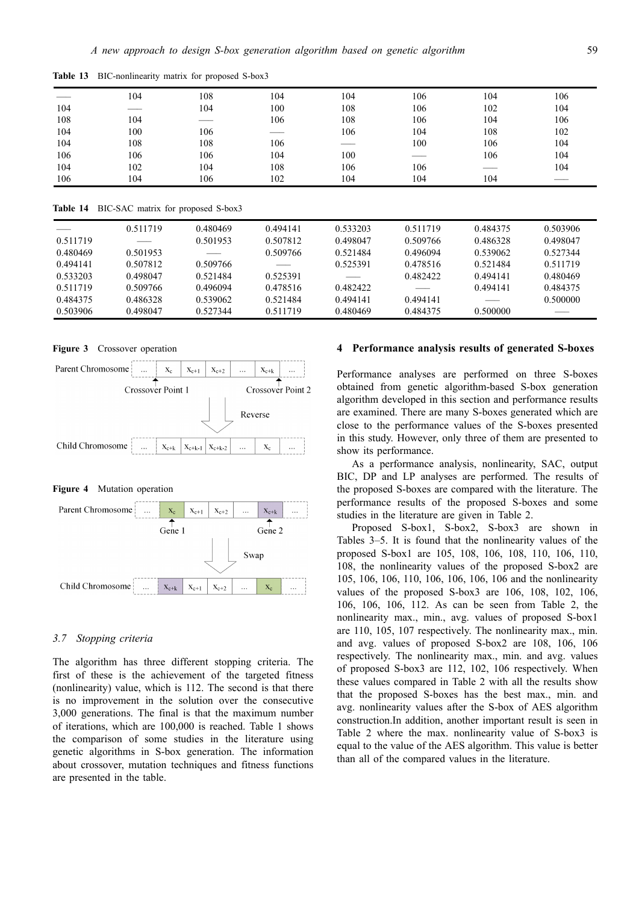|     | 104    | 108 | 104 | 104 | 106 | 104                    | 106 |
|-----|--------|-----|-----|-----|-----|------------------------|-----|
| 104 | ------ | 104 | 100 | 108 | 106 | 102                    | 104 |
| 108 | 104    |     | 106 | 108 | 106 | 104                    | 106 |
| 104 | 100    | 106 |     | 106 | 104 | 108                    | 102 |
| 104 | 108    | 108 | 106 |     | 100 | 106                    | 104 |
| 106 | 106    | 106 | 104 | 100 |     | 106                    | 104 |
| 104 | 102    | 104 | 108 | 106 | 106 | and the control of the | 104 |
| 106 | 104    | 106 | 102 | 104 | 104 | 104                    |     |

**Table 13** BIC-nonlinearity matrix for proposed S-box3

**Table 14** BIC-SAC matrix for proposed S-box3

| Those I. Bic bile mwall for proposed b comp |                                                                                                                                                                                                                                                                                                                                                                                                                                                                            |               |          |          |          |          |          |
|---------------------------------------------|----------------------------------------------------------------------------------------------------------------------------------------------------------------------------------------------------------------------------------------------------------------------------------------------------------------------------------------------------------------------------------------------------------------------------------------------------------------------------|---------------|----------|----------|----------|----------|----------|
| $\frac{1}{2}$                               | 0.511719                                                                                                                                                                                                                                                                                                                                                                                                                                                                   | 0.480469      | 0.494141 | 0.533203 | 0.511719 | 0.484375 | 0.503906 |
| 0.511719                                    | $\frac{1}{2} \left( \frac{1}{2} \right) \left( \frac{1}{2} \right) \left( \frac{1}{2} \right) \left( \frac{1}{2} \right) \left( \frac{1}{2} \right) \left( \frac{1}{2} \right) \left( \frac{1}{2} \right) \left( \frac{1}{2} \right) \left( \frac{1}{2} \right) \left( \frac{1}{2} \right) \left( \frac{1}{2} \right) \left( \frac{1}{2} \right) \left( \frac{1}{2} \right) \left( \frac{1}{2} \right) \left( \frac{1}{2} \right) \left( \frac{1}{2} \right) \left( \frac$ | 0.501953      | 0.507812 | 0.498047 | 0.509766 | 0.486328 | 0.498047 |
| 0.480469                                    | 0.501953                                                                                                                                                                                                                                                                                                                                                                                                                                                                   | $\frac{1}{2}$ | 0.509766 | 0.521484 | 0.496094 | 0.539062 | 0.527344 |
| 0.494141                                    | 0.507812                                                                                                                                                                                                                                                                                                                                                                                                                                                                   | 0.509766      |          | 0.525391 | 0.478516 | 0.521484 | 0.511719 |
| 0.533203                                    | 0.498047                                                                                                                                                                                                                                                                                                                                                                                                                                                                   | 0.521484      | 0.525391 |          | 0.482422 | 0.494141 | 0.480469 |
| 0.511719                                    | 0.509766                                                                                                                                                                                                                                                                                                                                                                                                                                                                   | 0.496094      | 0.478516 | 0.482422 |          | 0.494141 | 0.484375 |
| 0.484375                                    | 0.486328                                                                                                                                                                                                                                                                                                                                                                                                                                                                   | 0.539062      | 0.521484 | 0.494141 | 0.494141 |          | 0.500000 |
| 0.503906                                    | 0.498047                                                                                                                                                                                                                                                                                                                                                                                                                                                                   | 0.527344      | 0.511719 | 0.480469 | 0.484375 | 0.500000 |          |

**Figure 3** Crossover operation



**Figure 4** Mutation operation



### *3.7 Stopping criteria*

The algorithm has three different stopping criteria. The first of these is the achievement of the targeted fitness (nonlinearity) value, which is 112. The second is that there is no improvement in the solution over the consecutive 3,000 generations. The final is that the maximum number of iterations, which are 100,000 is reached. Table 1 shows the comparison of some studies in the literature using genetic algorithms in S-box generation. The information about crossover, mutation techniques and fitness functions are presented in the table.

### **4 Performance analysis results of generated S-boxes**

Performance analyses are performed on three S-boxes obtained from genetic algorithm-based S-box generation algorithm developed in this section and performance results are examined. There are many S-boxes generated which are close to the performance values of the S-boxes presented in this study. However, only three of them are presented to show its performance.

As a performance analysis, nonlinearity, SAC, output BIC, DP and LP analyses are performed. The results of the proposed S-boxes are compared with the literature. The performance results of the proposed S-boxes and some studies in the literature are given in Table 2.

Proposed S-box1, S-box2, S-box3 are shown in Tables 3–5. It is found that the nonlinearity values of the proposed S-box1 are 105, 108, 106, 108, 110, 106, 110, 108, the nonlinearity values of the proposed S-box2 are 105, 106, 106, 110, 106, 106, 106, 106 and the nonlinearity values of the proposed S-box3 are 106, 108, 102, 106, 106, 106, 106, 112. As can be seen from Table 2, the nonlinearity max., min., avg. values of proposed S-box1 are 110, 105, 107 respectively. The nonlinearity max., min. and avg. values of proposed S-box2 are 108, 106, 106 respectively. The nonlinearity max., min. and avg. values of proposed S-box3 are 112, 102, 106 respectively. When these values compared in Table 2 with all the results show that the proposed S-boxes has the best max., min. and avg. nonlinearity values after the S-box of AES algorithm construction.In addition, another important result is seen in Table 2 where the max. nonlinearity value of S-box3 is equal to the value of the AES algorithm. This value is better than all of the compared values in the literature.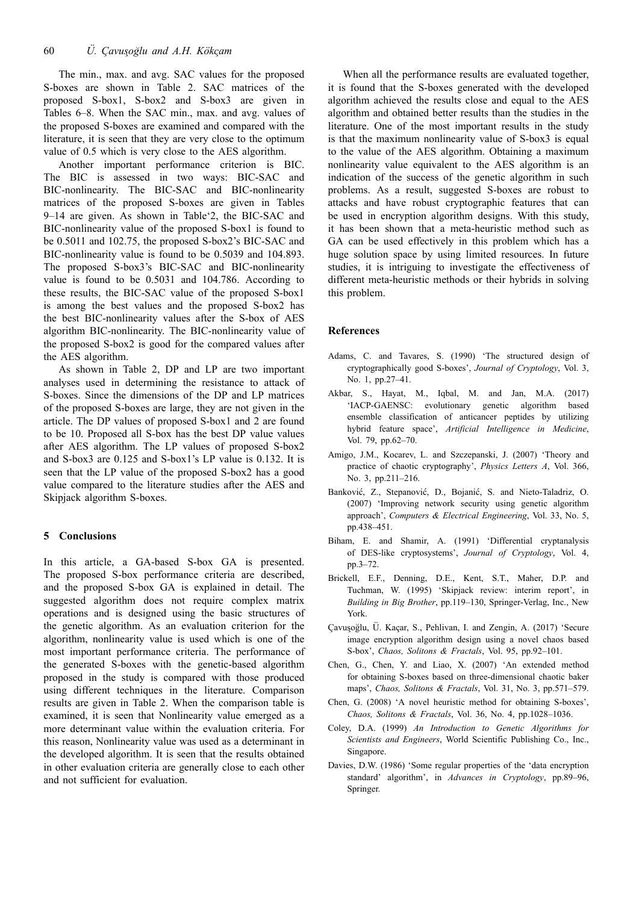The min., max. and avg. SAC values for the proposed S-boxes are shown in Table 2. SAC matrices of the proposed S-box1, S-box2 and S-box3 are given in Tables 6–8. When the SAC min., max. and avg. values of the proposed S-boxes are examined and compared with the literature, it is seen that they are very close to the optimum value of 0.5 which is very close to the AES algorithm.

Another important performance criterion is BIC. The BIC is assessed in two ways: BIC-SAC and BIC-nonlinearity. The BIC-SAC and BIC-nonlinearity matrices of the proposed S-boxes are given in Tables 9–14 are given. As shown in Table'2, the BIC-SAC and BIC-nonlinearity value of the proposed S-box1 is found to be 0.5011 and 102.75, the proposed S-box2's BIC-SAC and BIC-nonlinearity value is found to be 0.5039 and 104.893. The proposed S-box3's BIC-SAC and BIC-nonlinearity value is found to be 0.5031 and 104.786. According to these results, the BIC-SAC value of the proposed S-box1 is among the best values and the proposed S-box2 has the best BIC-nonlinearity values after the S-box of AES algorithm BIC-nonlinearity. The BIC-nonlinearity value of the proposed S-box2 is good for the compared values after the AES algorithm.

As shown in Table 2, DP and LP are two important analyses used in determining the resistance to attack of S-boxes. Since the dimensions of the DP and LP matrices of the proposed S-boxes are large, they are not given in the article. The DP values of proposed S-box1 and 2 are found to be 10. Proposed all S-box has the best DP value values after AES algorithm. The LP values of proposed S-box2 and S-box3 are 0.125 and S-box1's LP value is 0.132. It is seen that the LP value of the proposed S-box2 has a good value compared to the literature studies after the AES and Skipjack algorithm S-boxes.

# **5 Conclusions**

In this article, a GA-based S-box GA is presented. The proposed S-box performance criteria are described, and the proposed S-box GA is explained in detail. The suggested algorithm does not require complex matrix operations and is designed using the basic structures of the genetic algorithm. As an evaluation criterion for the algorithm, nonlinearity value is used which is one of the most important performance criteria. The performance of the generated S-boxes with the genetic-based algorithm proposed in the study is compared with those produced using different techniques in the literature. Comparison results are given in Table 2. When the comparison table is examined, it is seen that Nonlinearity value emerged as a more determinant value within the evaluation criteria. For this reason, Nonlinearity value was used as a determinant in the developed algorithm. It is seen that the results obtained in other evaluation criteria are generally close to each other and not sufficient for evaluation.

When all the performance results are evaluated together, it is found that the S-boxes generated with the developed algorithm achieved the results close and equal to the AES algorithm and obtained better results than the studies in the literature. One of the most important results in the study is that the maximum nonlinearity value of S-box3 is equal to the value of the AES algorithm. Obtaining a maximum nonlinearity value equivalent to the AES algorithm is an indication of the success of the genetic algorithm in such problems. As a result, suggested S-boxes are robust to attacks and have robust cryptographic features that can be used in encryption algorithm designs. With this study, it has been shown that a meta-heuristic method such as GA can be used effectively in this problem which has a huge solution space by using limited resources. In future studies, it is intriguing to investigate the effectiveness of different meta-heuristic methods or their hybrids in solving this problem.

#### **References**

- Adams, C. and Tavares, S. (1990) 'The structured design of cryptographically good S-boxes', *Journal of Cryptology*, Vol. 3, No. 1, pp.27–41.
- Akbar, S., Hayat, M., Iqbal, M. and Jan, M.A. (2017) 'IACP-GAENSC: evolutionary genetic algorithm based ensemble classification of anticancer peptides by utilizing hybrid feature space', *Artificial Intelligence in Medicine*, Vol. 79, pp.62–70.
- Amigo, J.M., Kocarev, L. and Szczepanski, J. (2007) 'Theory and practice of chaotic cryptography', *Physics Letters A*, Vol. 366, No. 3, pp.211–216.
- Banković, Z., Stepanović, D., Bojanić, S. and Nieto-Taladriz, O. (2007) 'Improving network security using genetic algorithm approach', *Computers & Electrical Engineering*, Vol. 33, No. 5, pp.438–451.
- Biham, E. and Shamir, A. (1991) 'Differential cryptanalysis of DES-like cryptosystems', *Journal of Cryptology*, Vol. 4, pp.3–72.
- Brickell, E.F., Denning, D.E., Kent, S.T., Maher, D.P. and Tuchman, W. (1995) 'Skipjack review: interim report', in *Building in Big Brother*, pp.119–130, Springer-Verlag, Inc., New York.
- Çavuşoğlu, Ü. Kaçar, S., Pehlivan, I. and Zengin, A. (2017) 'Secure image encryption algorithm design using a novel chaos based S-box', *Chaos, Solitons & Fractals*, Vol. 95, pp.92–101.
- Chen, G., Chen, Y. and Liao, X. (2007) 'An extended method for obtaining S-boxes based on three-dimensional chaotic baker maps', *Chaos, Solitons & Fractals*, Vol. 31, No. 3, pp.571–579.
- Chen, G. (2008) 'A novel heuristic method for obtaining S-boxes', *Chaos, Solitons & Fractals*, Vol. 36, No. 4, pp.1028–1036.
- Coley, D.A. (1999) *An Introduction to Genetic Algorithms for Scientists and Engineers*, World Scientific Publishing Co., Inc., Singapore.
- Davies, D.W. (1986) 'Some regular properties of the 'data encryption standard' algorithm', in *Advances in Cryptology*, pp.89–96, Springer.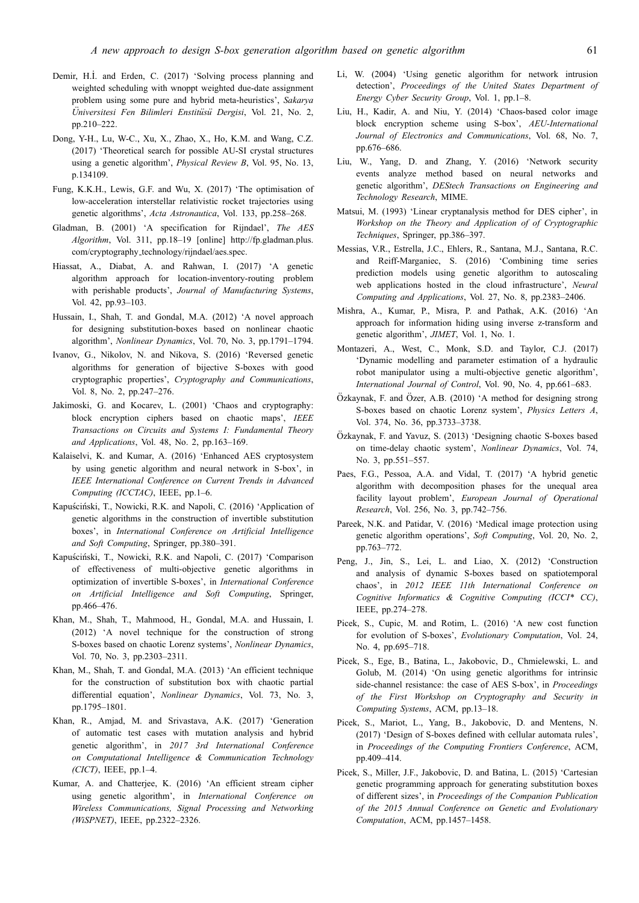- Demir, H.İ. and Erden, C. (2017) 'Solving process planning and weighted scheduling with wnoppt weighted due-date assignment problem using some pure and hybrid meta-heuristics', *Sakarya Üniversitesi Fen Bilimleri Enstitüsü Dergisi*, Vol. 21, No. 2, pp.210–222.
- Dong, Y-H., Lu, W-C., Xu, X., Zhao, X., Ho, K.M. and Wang, C.Z. (2017) 'Theoretical search for possible AU-SI crystal structures using a genetic algorithm', *Physical Review B*, Vol. 95, No. 13, p.134109.
- Fung, K.K.H., Lewis, G.F. and Wu, X. (2017) 'The optimisation of low-acceleration interstellar relativistic rocket trajectories using genetic algorithms', *Acta Astronautica*, Vol. 133, pp.258–268.
- Gladman, B. (2001) 'A specification for Rijndael', *The AES Algorithm*, Vol. 311, pp.18–19 [online] http://fp.gladman.plus. com/cryptography technology/rijndael/aes.spec.
- Hiassat, A., Diabat, A. and Rahwan, I. (2017) 'A genetic algorithm approach for location-inventory-routing problem with perishable products', *Journal of Manufacturing Systems*, Vol. 42, pp.93–103.
- Hussain, I., Shah, T. and Gondal, M.A. (2012) 'A novel approach for designing substitution-boxes based on nonlinear chaotic algorithm', *Nonlinear Dynamics*, Vol. 70, No. 3, pp.1791–1794.
- Ivanov, G., Nikolov, N. and Nikova, S. (2016) 'Reversed genetic algorithms for generation of bijective S-boxes with good cryptographic properties', *Cryptography and Communications*, Vol. 8, No. 2, pp.247–276.
- Jakimoski, G. and Kocarev, L. (2001) 'Chaos and cryptography: block encryption ciphers based on chaotic maps', *IEEE Transactions on Circuits and Systems I: Fundamental Theory and Applications*, Vol. 48, No. 2, pp.163–169.
- Kalaiselvi, K. and Kumar, A. (2016) 'Enhanced AES cryptosystem by using genetic algorithm and neural network in S-box', in *IEEE International Conference on Current Trends in Advanced Computing (ICCTAC)*, IEEE, pp.1–6.
- Kapuściński, T., Nowicki, R.K. and Napoli, C. (2016) 'Application of genetic algorithms in the construction of invertible substitution boxes', in *International Conference on Artificial Intelligence and Soft Computing*, Springer, pp.380–391.
- Kapuściński, T., Nowicki, R.K. and Napoli, C. (2017) 'Comparison of effectiveness of multi-objective genetic algorithms in optimization of invertible S-boxes', in *International Conference on Artificial Intelligence and Soft Computing*, Springer, pp.466–476.
- Khan, M., Shah, T., Mahmood, H., Gondal, M.A. and Hussain, I. (2012) 'A novel technique for the construction of strong S-boxes based on chaotic Lorenz systems', *Nonlinear Dynamics*, Vol. 70, No. 3, pp.2303–2311.
- Khan, M., Shah, T. and Gondal, M.A. (2013) 'An efficient technique for the construction of substitution box with chaotic partial differential equation', *Nonlinear Dynamics*, Vol. 73, No. 3, pp.1795–1801.
- Khan, R., Amjad, M. and Srivastava, A.K. (2017) 'Generation of automatic test cases with mutation analysis and hybrid genetic algorithm', in *2017 3rd International Conference on Computational Intelligence & Communication Technology (CICT)*, IEEE, pp.1–4.
- Kumar, A. and Chatterjee, K. (2016) 'An efficient stream cipher using genetic algorithm', in *International Conference on Wireless Communications, Signal Processing and Networking (WiSPNET)*, IEEE, pp.2322–2326.
- Li, W. (2004) 'Using genetic algorithm for network intrusion detection', *Proceedings of the United States Department of Energy Cyber Security Group*, Vol. 1, pp.1–8.
- Liu, H., Kadir, A. and Niu, Y. (2014) 'Chaos-based color image block encryption scheme using S-box', *AEU-International Journal of Electronics and Communications*, Vol. 68, No. 7, pp.676–686.
- Liu, W., Yang, D. and Zhang, Y. (2016) 'Network security events analyze method based on neural networks and genetic algorithm', *DEStech Transactions on Engineering and Technology Research*, MIME.
- Matsui, M. (1993) 'Linear cryptanalysis method for DES cipher', in *Workshop on the Theory and Application of of Cryptographic Techniques*, Springer, pp.386–397.
- Messias, V.R., Estrella, J.C., Ehlers, R., Santana, M.J., Santana, R.C. and Reiff-Marganiec, S. (2016) 'Combining time series prediction models using genetic algorithm to autoscaling web applications hosted in the cloud infrastructure', *Neural Computing and Applications*, Vol. 27, No. 8, pp.2383–2406.
- Mishra, A., Kumar, P., Misra, P. and Pathak, A.K. (2016) 'An approach for information hiding using inverse z-transform and genetic algorithm', *JIMET*, Vol. 1, No. 1.
- Montazeri, A., West, C., Monk, S.D. and Taylor, C.J. (2017) 'Dynamic modelling and parameter estimation of a hydraulic robot manipulator using a multi-objective genetic algorithm', *International Journal of Control*, Vol. 90, No. 4, pp.661–683.
- $Özkaynak, F. and Özer, A.B. (2010) 'A method for designing strong$ S-boxes based on chaotic Lorenz system', *Physics Letters A*, Vol. 374, No. 36, pp.3733–3738.
- Ozkaynak, F. and Yavuz, S. (2013) 'Designing chaotic S-boxes based ¨ on time-delay chaotic system', *Nonlinear Dynamics*, Vol. 74, No. 3, pp.551–557.
- Paes, F.G., Pessoa, A.A. and Vidal, T. (2017) 'A hybrid genetic algorithm with decomposition phases for the unequal area facility layout problem', *European Journal of Operational Research*, Vol. 256, No. 3, pp.742–756.
- Pareek, N.K. and Patidar, V. (2016) 'Medical image protection using genetic algorithm operations', *Soft Computing*, Vol. 20, No. 2, pp.763–772.
- Peng, J., Jin, S., Lei, L. and Liao, X. (2012) 'Construction and analysis of dynamic S-boxes based on spatiotemporal chaos', in *2012 IEEE 11th International Conference on Cognitive Informatics & Cognitive Computing (ICCI\* CC)*, IEEE, pp.274–278.
- Picek, S., Cupic, M. and Rotim, L. (2016) 'A new cost function for evolution of S-boxes', *Evolutionary Computation*, Vol. 24, No. 4, pp.695–718.
- Picek, S., Ege, B., Batina, L., Jakobovic, D., Chmielewski, L. and Golub, M. (2014) 'On using genetic algorithms for intrinsic side-channel resistance: the case of AES S-box', in *Proceedings of the First Workshop on Cryptography and Security in Computing Systems*, ACM, pp.13–18.
- Picek, S., Mariot, L., Yang, B., Jakobovic, D. and Mentens, N. (2017) 'Design of S-boxes defined with cellular automata rules', in *Proceedings of the Computing Frontiers Conference*, ACM, pp.409–414.
- Picek, S., Miller, J.F., Jakobovic, D. and Batina, L. (2015) 'Cartesian genetic programming approach for generating substitution boxes of different sizes', in *Proceedings of the Companion Publication of the 2015 Annual Conference on Genetic and Evolutionary Computation*, ACM, pp.1457–1458.